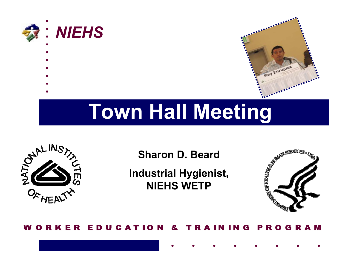

- 
- 
- 
- 
- 
- 
- 

# Town Hall Meeting



Sharon D. Beard

Industrial Hygienist, NIEHS WETP



Ray Enriques

#### **WORKER EDUCAT ION**  $\mathbf{R}$ IN G R A M R O G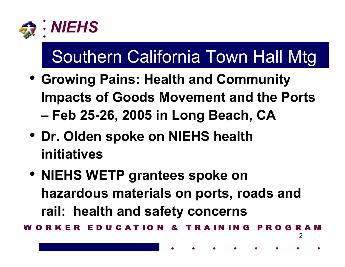

## Southern California Town Hall Mtg

- Growing Pains: Health and Community Impacts of Goods Movement and the Ports – Feb 25-26, 2005 in Long Beach, CA
- Dr. Olden spoke on NIEHS health initiatives
- NIEHS WETP grantees spoke on hazardous materials on ports, roads and rail: health and safety concerns 2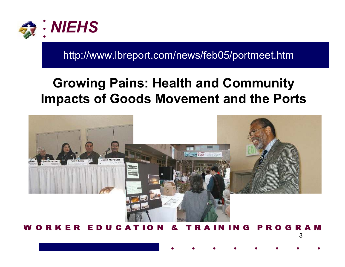

http://www.lbreport.com/news/feb05/portmeet.htm

### Growing Pains: Health and Community Impacts of Goods Movement and the Ports

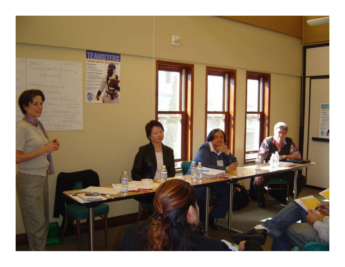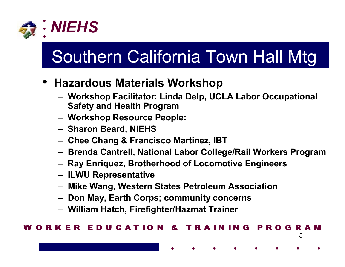

## Southern California Town Hall Mtg

#### • Hazardous Materials Workshop

- Workshop Facilitator: Linda Delp, UCLA Labor Occupational Safety and Health Program
- Workshop Resource People:
- Sharon Beard, NIEHS
- Chee Chang & Francisco Martinez, IBT
- Brenda Cantrell, National Labor College/Rail Workers Program

5

- $-$  Ray Enriquez, Brotherhood of Locomotive Engineers
- ILWU Representative
- Mike Wang, Western States Petroleum Association
- Don May, Earth Corps; community concerns
- William Hatch, Firefighter/Hazmat Trainer

#### E R ED U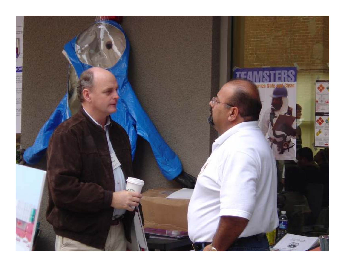